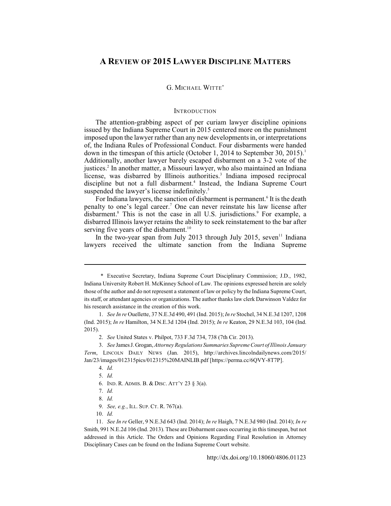# **A REVIEW OF 2015 LAWYER DISCIPLINE MATTERS**

## G. MICHAEL WITTE\*

#### **INTRODUCTION**

The attention-grabbing aspect of per curiam lawyer discipline opinions issued by the Indiana Supreme Court in 2015 centered more on the punishment imposed upon the lawyer rather than any new developments in, or interpretations of, the Indiana Rules of Professional Conduct. Four disbarments were handed down in the timespan of this article (October 1, 2014 to September 30, 2015).<sup>1</sup> Additionally, another lawyer barely escaped disbarment on a 3-2 vote of the justices.<sup>2</sup> In another matter, a Missouri lawyer, who also maintained an Indiana license, was disbarred by Illinois authorities.<sup>3</sup> Indiana imposed reciprocal discipline but not a full disbarment.<sup>4</sup> Instead, the Indiana Supreme Court suspended the lawyer's license indefinitely.<sup>5</sup>

For Indiana lawyers, the sanction of disbarment is permanent.<sup>6</sup> It is the death penalty to one's legal career.<sup>7</sup> One can never reinstate his law license after disbarment.<sup>8</sup> This is not the case in all U.S. jurisdictions.<sup>9</sup> For example, a disbarred Illinois lawyer retains the ability to seek reinstatement to the bar after serving five years of the disbarment.<sup>10</sup>

In the two-year span from July 2013 through July 2015, seven <sup>11</sup> Indiana lawyers received the ultimate sanction from the Indiana Supreme

6. IND. R. ADMIS. B. & DISC. ATT'Y 23 § 3(a).

<sup>\*</sup> Executive Secretary, Indiana Supreme Court Disciplinary Commission; J.D., 1982, Indiana University Robert H. McKinney School of Law. The opinions expressed herein are solely those of the author and do not represent a statement of law or policy by the Indiana Supreme Court, its staff, or attendant agencies or organizations. The author thanks law clerk Darwinson Valdez for his research assistance in the creation of this work.

<sup>1.</sup> *See In re* Ouellette, 37 N.E.3d 490, 491 (Ind. 2015); *In re* Stochel, 34 N.E.3d 1207, 1208 (Ind. 2015); *In re* Hamilton, 34 N.E.3d 1204 (Ind. 2015); *In re* Keaton, 29 N.E.3d 103, 104 (Ind. 2015).

<sup>2.</sup> *See* United States v. Philpot, 733 F.3d 734, 738 (7th Cir. 2013).

<sup>3.</sup> *See* James J. Grogan, *Attorney Regulations Summaries Supreme Court of Illinois January Term*, LINCOLN DAILY NEWS (Jan. 2015), http://archives.lincolndailynews.com/2015/ Jan/23/images/012315pics/012315%20MAINLIB.pdf [https://perma.cc/6QVY-8T7P].

<sup>4.</sup> *Id.*

<sup>5.</sup> *Id.*

<sup>7.</sup> *Id.*

<sup>8.</sup> *Id.*

<sup>9.</sup> *See, e.g.*, ILL. SUP. CT. R. 767(a).

<sup>10.</sup> *Id.*

<sup>11.</sup> *See In re* Geller, 9 N.E.3d 643 (Ind. 2014); *In re* Haigh, 7 N.E.3d 980 (Ind. 2014); *In re* Smith, 991 N.E.2d 106 (Ind. 2013). These are Disbarment cases occurring in this timespan, but not addressed in this Article. The Orders and Opinions Regarding Final Resolution in Attorney Disciplinary Cases can be found on the Indiana Supreme Court website.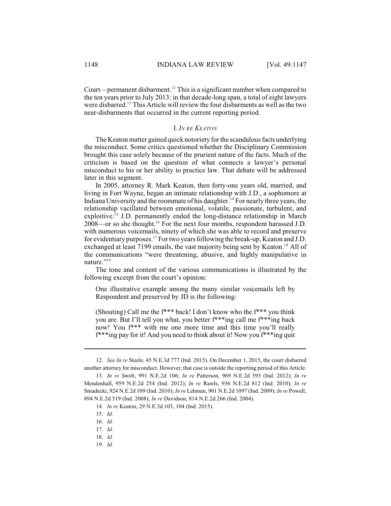Court—permanent disbarment.<sup>12</sup> This is a significant number when compared to the ten years prior to July 2013: in that decade-long span, a total of eight lawyers were disbarred.<sup>13</sup> This Article will review the four disbarments as well as the two near-disbarments that occurred in the current reporting period.

#### I. *IN RE KEATON*

The Keaton matter gained quick notoriety forthe scandalous facts underlying the misconduct. Some critics questioned whether the Disciplinary Commission brought this case solely because of the prurient nature of the facts. Much of the criticism is based on the question of what connects a lawyer's personal misconduct to his or her ability to practice law. That debate will be addressed later in this segment.

In 2005, attorney R. Mark Keaton, then forty-one years old, married, and living in Fort Wayne, began an intimate relationship with J.D., a sophomore at Indiana University and the roommate of his daughter.<sup>14</sup> For nearly three years, the relationship vacillated between emotional, volatile, passionate, turbulent, and exploitive.<sup>15</sup> J.D. permanently ended the long-distance relationship in March  $2008$ —or so she thought.<sup>16</sup> For the next four months, respondent harassed J.D. with numerous voicemails, ninety of which she was able to record and preserve for evidentiary purposes.<sup>17</sup> For two years following the break-up, Keaton and J.D. exchanged at least 7199 emails, the vast majority being sent by Keaton.<sup>18</sup> All of the communications "were threatening, abusive, and highly manipulative in nature."<sup>19</sup>

The tone and content of the various communications is illustrated by the following excerpt from the court's opinion:

One illustrative example among the many similar voicemails left by Respondent and preserved by JD is the following:

(Shouting) Call me the f\*\*\* back! I don't know who the f\*\*\* you think you are. But I'll tell you what, you better f\*\*\*ing call me f\*\*\*ing back now! You f\*\*\* with me one more time and this time you'll really f\*\*\*ing pay for it! And you need to think about it! Now you f\*\*\*ing quit

<sup>12.</sup> *See In re* Steele, 45 N.E.3d 777 (Ind. 2015). On December 1, 2015, the court disbarred another attorney for misconduct. However, that case is outside the reporting period of this Article.

<sup>13.</sup> *In re Smith*, 991 N.E.2d 106; *In re* Patterson, 969 N.E.2d 593 (Ind. 2012); *In re* Mendenhall, 959 N.E.2d 254 (Ind. 2012); *In re* Rawls, 936 N.E.2d 812 (Ind. 2010); *In re* Sniadecki, 924 N.E.2d 109 (Ind. 2010); *In re* Lehman, 901 N.E.2d 1097 (Ind. 2009); *In re* Powell, 894 N.E.2d 519 (Ind. 2008); *In re* Davidson, 814 N.E.2d 266 (Ind. 2004).

<sup>14.</sup> *In re* Keaton, 29 N.E.3d 103, 104 (Ind. 2015).

<sup>15.</sup> *Id.*

<sup>16.</sup> *Id.*

<sup>17.</sup> *Id.*

<sup>18.</sup> *Id.*

<sup>19.</sup> *Id.*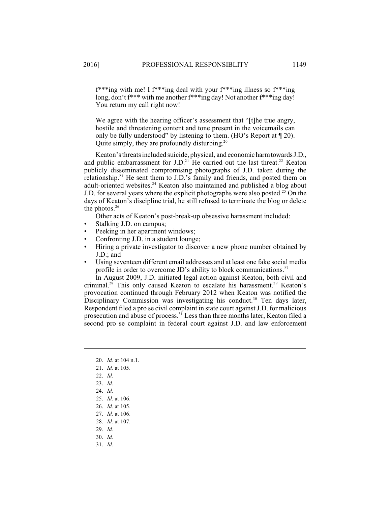f\*\*\*ing with me! I f\*\*\*ing deal with your f\*\*\*ing illness so f\*\*\*ing long, don't f<sup>\*\*\*</sup> with me another f<sup>\*\*\*</sup>ing day! Not another f<sup>\*\*\*</sup>ing day! You return my call right now!

We agree with the hearing officer's assessment that "[t]he true angry, hostile and threatening content and tone present in the voicemails can only be fully understood" by listening to them. (HO's Report at ¶ 20). Quite simply, they are profoundly disturbing.<sup>20</sup>

Keaton's threats included suicide, physical, and economic harmtowardsJ.D., and public embarrassment for J.D.<sup>21</sup> He carried out the last threat.<sup>22</sup> Keaton publicly disseminated compromising photographs of J.D. taken during the relationship.<sup>23</sup> He sent them to J.D.'s family and friends, and posted them on adult-oriented websites.<sup>24</sup> Keaton also maintained and published a blog about J.D. for several years where the explicit photographs were also posted.<sup>25</sup> On the days of Keaton's discipline trial, he still refused to terminate the blog or delete the photos. 26

Other acts of Keaton's post-break-up obsessive harassment included:

- Stalking J.D. on campus;
- Peeking in her apartment windows;
- Confronting J.D. in a student lounge;
- Hiring a private investigator to discover a new phone number obtained by J.D.; and
- Using seventeen different email addresses and at least one fake social media profile in order to overcome JD's ability to block communications.<sup>27</sup>

In August 2009, J.D. initiated legal action against Keaton, both civil and criminal.<sup>28</sup> This only caused Keaton to escalate his harassment.<sup>29</sup> Keaton's provocation continued through February 2012 when Keaton was notified the Disciplinary Commission was investigating his conduct.<sup>30</sup> Ten days later, Respondent filed a pro se civil complaint in state court against J.D. for malicious prosecution and abuse of process.<sup>31</sup> Less than three months later, Keaton filed a second pro se complaint in federal court against J.D. and law enforcement

- 20. *Id.* at 104 n.1.
- 21. *Id.* at 105.
- 22. *Id.*
- 23. *Id.*
- 24. *Id.*
- 25. *Id.* at 106.
- 26. *Id.* at 105.
- 27. *Id.* at 106.
- 28. *Id.* at 107.
- 29. *Id.*
- 30. *Id.*
- 31. *Id.*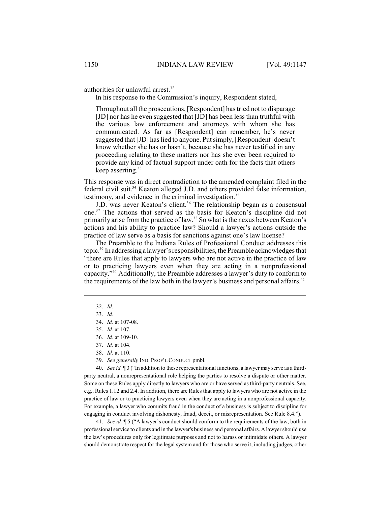authorities for unlawful arrest. 32

In his response to the Commission's inquiry, Respondent stated,

Throughout all the prosecutions, [Respondent] hastried not to disparage [JD] nor has he even suggested that [JD] has been less than truthful with the various law enforcement and attorneys with whom she has communicated. As far as [Respondent] can remember, he's never suggested that [JD] haslied to anyone. Putsimply, [Respondent] doesn't know whether she has or hasn't, because she has never testified in any proceeding relating to these matters nor has she ever been required to provide any kind of factual support under oath for the facts that others keep asserting. $33$ 

This response was in direct contradiction to the amended complaint filed in the federal civil suit.<sup>34</sup> Keaton alleged J.D. and others provided false information, testimony, and evidence in the criminal investigation.<sup>35</sup>

J.D. was never Keaton's client.<sup>36</sup> The relationship began as a consensual one.<sup>37</sup> The actions that served as the basis for Keaton's discipline did not primarily arise from the practice of law.<sup>38</sup> So what is the nexus between Keaton's actions and his ability to practice law? Should a lawyer's actions outside the practice of law serve as a basis for sanctions against one's law license?

The Preamble to the Indiana Rules of Professional Conduct addresses this topic.<sup>39</sup> In addressing a lawyer's responsibilities, the Preamble acknowledges that "there are Rules that apply to lawyers who are not active in the practice of law or to practicing lawyers even when they are acting in a nonprofessional capacity."<sup>40</sup> Additionally, the Preamble addresses a lawyer's duty to conform to the requirements of the law both in the lawyer's business and personal affairs.<sup>41</sup>

39. *See generally* IND. PROF'L CONDUCT pmbl.

40. *See id.* ¶ 3 ("In addition to these representational functions, a lawyer may serve as a thirdparty neutral, a nonrepresentational role helping the parties to resolve a dispute or other matter. Some on these Rules apply directly to lawyers who are or have served as third-party neutrals. See, e.g., Rules 1.12 and 2.4. In addition, there are Rules that apply to lawyers who are not active in the practice of law or to practicing lawyers even when they are acting in a nonprofessional capacity. For example, a lawyer who commits fraud in the conduct of a business is subject to discipline for engaging in conduct involving dishonesty, fraud, deceit, or misrepresentation. See Rule 8.4.").

41. *See id.* ¶ 5 ("A lawyer's conduct should conform to the requirements of the law, both in professional service to clients and in the lawyer's business and personal affairs. A lawyer should use the law's procedures only for legitimate purposes and not to harass or intimidate others. A lawyer should demonstrate respect for the legal system and for those who serve it, including judges, other

<sup>32.</sup> *Id.*

<sup>33.</sup> *Id.*

<sup>34.</sup> *Id.* at 107-08.

<sup>35.</sup> *Id.* at 107.

<sup>36.</sup> *Id.* at 109-10.

<sup>37.</sup> *Id.* at 104.

<sup>38.</sup> *Id.* at 110.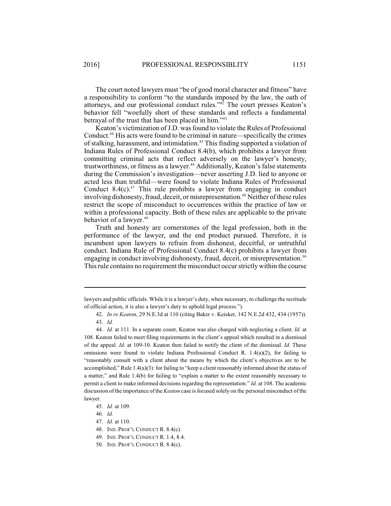The court noted lawyers must "be of good moral character and fitness" have a responsibility to conform "to the standards imposed by the law, the oath of attorneys, and our professional conduct rules."<sup>42</sup> The court presses Keaton's behavior fell "woefully short of these standards and reflects a fundamental betrayal of the trust that has been placed in him."<sup>43</sup>

Keaton's victimization of J.D. was found to violate the Rules of Professional Conduct.<sup>44</sup> His acts were found to be criminal in nature—specifically the crimes of stalking, harassment, and intimidation.<sup>45</sup> This finding supported a violation of Indiana Rules of Professional Conduct 8.4(b), which prohibits a lawyer from committing criminal acts that reflect adversely on the lawyer's honesty, trustworthiness, or fitness as a lawyer.<sup>46</sup> Additionally, Keaton's false statements during the Commission's investigation—never asserting J.D. lied to anyone or acted less than truthful—were found to violate Indiana Rules of Professional Conduct 8.4(c).<sup>47</sup> This rule prohibits a lawyer from engaging in conduct involving dishonesty, fraud, deceit, or misrepresentation.<sup>48</sup> Neither of these rules restrict the scope of misconduct to occurrences within the practice of law or within a professional capacity. Both of these rules are applicable to the private behavior of a lawyer.<sup>49</sup>

Truth and honesty are cornerstones of the legal profession, both in the performance of the lawyer, and the end product pursued. Therefore, it is incumbent upon lawyers to refrain from dishonest, deceitful, or untruthful conduct. Indiana Rule of Professional Conduct 8.4(c) prohibits a lawyer from engaging in conduct involving dishonesty, fraud, deceit, or misrepresentation.<sup>50</sup> Thisrule contains no requirement the misconduct occur strictly within the course

lawyers and public officials. While it is a lawyer's duty, when necessary, to challenge the rectitude of official action, it is also a lawyer's duty to uphold legal process.").

<sup>42.</sup> *In re Keaton*, 29 N.E.3d at 110 (citing Baker v. Keisker, 142 N.E.2d 432, 434 (1957)). 43. *Id.*

<sup>44.</sup> *Id.* at 111. In a separate count, Keaton was also charged with neglecting a client. *Id.* at 108. Keaton failed to meet filing requirements in the client's appeal which resulted in a dismissal of the appeal. *Id.* at 109-10. Keaton then failed to notify the client of the dismissal. *Id.* These omissions were found to violate Indiana Professional Conduct R.  $1.4(a)(2)$ , for failing to "reasonably consult with a client about the means by which the client's objectives are to be accomplished," Rule 1.4(a)(3): for failing to "keep a client reasonably informed about the status of a matter," and Rule 1.4(b) for failing to "explain a matter to the extent reasonably necessary to permit a client to make informed decisions regarding the representation." *Id.* at 108. The academic discussion of the importance of the *Keaton* case is focused solely on the personal misconduct of the lawyer.

<sup>45.</sup> *Id.* at 109.

<sup>46.</sup> *Id.*

<sup>47.</sup> *Id.* at 110.

<sup>48.</sup> IND. PROF'L CONDUCT R. 8.4(c).

<sup>49.</sup> IND. PROF'L CONDUCT R. 1.4, 8.4.

<sup>50.</sup> IND. PROF'L CONDUCT R. 8.4(c).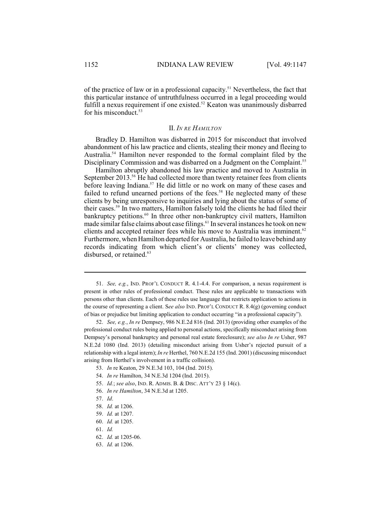of the practice of law or in a professional capacity.<sup>51</sup> Nevertheless, the fact that this particular instance of untruthfulness occurred in a legal proceeding would fulfill a nexus requirement if one existed. $52$  Keaton was unanimously disbarred for his misconduct.<sup>53</sup>

#### II. *IN RE HAMILTON*

Bradley D. Hamilton was disbarred in 2015 for misconduct that involved abandonment of his law practice and clients, stealing their money and fleeing to Australia.<sup>54</sup> Hamilton never responded to the formal complaint filed by the Disciplinary Commission and was disbarred on a Judgment on the Complaint.<sup>55</sup>

Hamilton abruptly abandoned his law practice and moved to Australia in September 2013.<sup>56</sup> He had collected more than twenty retainer fees from clients before leaving Indiana.<sup>57</sup> He did little or no work on many of these cases and failed to refund unearned portions of the fees.<sup>58</sup> He neglected many of these clients by being unresponsive to inquiries and lying about the status of some of their cases.<sup>59</sup> In two matters, Hamilton falsely told the clients he had filed their bankruptcy petitions.<sup>60</sup> In three other non-bankruptcy civil matters, Hamilton made similar false claims about case filings.<sup>61</sup> In several instances he took on new clients and accepted retainer fees while his move to Australia was imminent.<sup>62</sup> Furthermore, when Hamilton departed for Australia, he failed to leave behind any records indicating from which client's or clients' money was collected, disbursed, or retained.<sup>63</sup>

55. *Id.*; *see also*, IND. R. ADMIS. B. & DISC. ATT'Y 23 § 14(c).

<sup>51.</sup> *See, e.g.*, IND. PROF'L CONDUCT R. 4.1-4.4. For comparison, a nexus requirement is present in other rules of professional conduct. These rules are applicable to transactions with persons other than clients. Each of these rules use language that restricts application to actions in the course of representing a client. S*ee also* IND. PROF'L CONDUCT R. 8.4(g) (governing conduct of bias or prejudice but limiting application to conduct occurring "in a professional capacity").

<sup>52.</sup> *See, e.g.*, *In re* Dempsey, 986 N.E.2d 816 (Ind. 2013) (providing other examples of the professional conduct rules being applied to personal actions, specifically misconduct arising from Dempsey's personal bankruptcy and personal real estate foreclosure); *see also In re* Usher, 987 N.E.2d 1080 (Ind. 2013) (detailing misconduct arising from Usher's rejected pursuit of a relationship with a legal intern); *In re* Herthel, 760 N.E.2d 155 (Ind. 2001) (discussing misconduct arising from Herthel's involvement in a traffic collision).

<sup>53.</sup> *In* re Keaton, 29 N.E.3d 103, 104 (Ind. 2015).

<sup>54.</sup> *In re* Hamilton, 34 N.E.3d 1204 (Ind. 2015).

<sup>56.</sup> *In re Hamilton*, 34 N.E.3d at 1205.

<sup>57.</sup> *Id*.

<sup>58.</sup> *Id.* at 1206.

<sup>59.</sup> *Id.* at 1207.

<sup>60.</sup> *Id.* at 1205.

<sup>61.</sup> *Id.*

<sup>62.</sup> *Id.* at 1205-06.

<sup>63.</sup> *Id.* at 1206.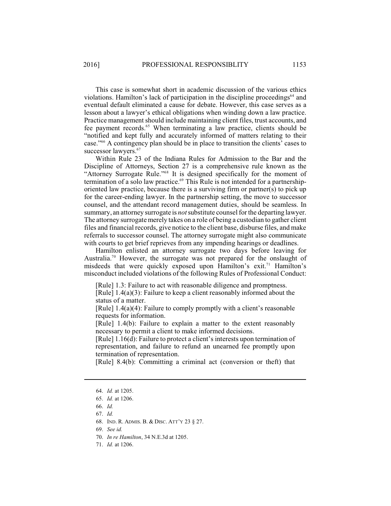This case is somewhat short in academic discussion of the various ethics violations. Hamilton's lack of participation in the discipline proceedings $64$  and eventual default eliminated a cause for debate. However, this case serves as a lesson about a lawyer's ethical obligations when winding down a law practice. Practice management should include maintaining client files, trust accounts, and fee payment records.<sup>65</sup> When terminating a law practice, clients should be "notified and kept fully and accurately informed of matters relating to their case."<sup>66</sup> A contingency plan should be in place to transition the clients' cases to successor lawyers.<sup>67</sup>

Within Rule 23 of the Indiana Rules for Admission to the Bar and the Discipline of Attorneys, Section 27 is a comprehensive rule known as the "Attorney Surrogate Rule."<sup>68</sup> It is designed specifically for the moment of termination of a solo law practice.<sup>69</sup> This Rule is not intended for a partnershiporiented law practice, because there is a surviving firm or partner(s) to pick up for the career-ending lawyer. In the partnership setting, the move to successor counsel, and the attendant record management duties, should be seamless. In summary, an attorney surrogate is *not*substitute counsel forthe departing lawyer. The attorney surrogate merely takes on a role of being a custodian to gather client files and financial records, give notice to the client base, disburse files, and make referrals to successor counsel. The attorney surrogate might also communicate with courts to get brief reprieves from any impending hearings or deadlines.

Hamilton enlisted an attorney surrogate two days before leaving for Australia.<sup>70</sup> However, the surrogate was not prepared for the onslaught of misdeeds that were quickly exposed upon Hamilton's exit.<sup>71</sup> Hamilton's misconduct included violations of the following Rules of Professional Conduct:

[Rule] 1.3: Failure to act with reasonable diligence and promptness.

[Rule] 1.4(a)(3): Failure to keep a client reasonably informed about the status of a matter.

[Rule] 1.4(a)(4): Failure to comply promptly with a client's reasonable requests for information.

[Rule] 1.4(b): Failure to explain a matter to the extent reasonably necessary to permit a client to make informed decisions.

[Rule] 1.16(d): Failure to protect a client's interests upon termination of representation, and failure to refund an unearned fee promptly upon termination of representation.

[Rule] 8.4(b): Committing a criminal act (conversion or theft) that

<sup>64.</sup> *Id.* at 1205.

<sup>65.</sup> *Id.* at 1206.

<sup>66.</sup> *Id.*

<sup>67.</sup> *Id.*

<sup>68.</sup> IND. R. ADMIS. B. & DISC. ATT'Y 23 § 27.

<sup>69.</sup> *See id.*

<sup>70.</sup> *In re Hamilton*, 34 N.E.3d at 1205.

<sup>71.</sup> *Id.* at 1206.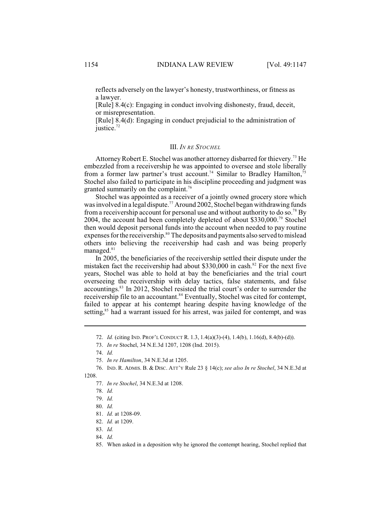reflects adversely on the lawyer's honesty, trustworthiness, or fitness as a lawyer.

[Rule] 8.4(c): Engaging in conduct involving dishonesty, fraud, deceit, or misrepresentation.

[Rule] 8.4(d): Engaging in conduct prejudicial to the administration of iustice. $72$ 

## III. *IN RE STOCHEL*

Attorney Robert E. Stochel was another attorney disbarred for thievery.<sup>73</sup> He embezzled from a receivership he was appointed to oversee and stole liberally from a former law partner's trust account.<sup>74</sup> Similar to Bradley Hamilton,<sup>75</sup> Stochel also failed to participate in his discipline proceeding and judgment was granted summarily on the complaint.<sup>76</sup>

Stochel was appointed as a receiver of a jointly owned grocery store which was involved in a legal dispute.<sup>77</sup> Around 2002, Stochel began withdrawing funds from a receivership account for personal use and without authority to do so.<sup>78</sup> By 2004, the account had been completely depleted of about \$330,000.<sup>79</sup> Stochel then would deposit personal funds into the account when needed to pay routine expenses for the receivership.<sup>80</sup> The deposits and payments also served to mislead others into believing the receivership had cash and was being properly managed.<sup>81</sup>

In 2005, the beneficiaries of the receivership settled their dispute under the mistaken fact the receivership had about  $$330,000$  in cash.<sup>82</sup> For the next five years, Stochel was able to hold at bay the beneficiaries and the trial court overseeing the receivership with delay tactics, false statements, and false accountings.<sup>83</sup> In 2012, Stochel resisted the trial court's order to surrender the receivership file to an accountant.<sup>84</sup> Eventually, Stochel was cited for contempt, failed to appear at his contempt hearing despite having knowledge of the setting,<sup>85</sup> had a warrant issued for his arrest, was jailed for contempt, and was

- 83. *Id.*
- 84. *Id.*

<sup>72.</sup> *Id.* (citing IND. PROF'L CONDUCT R. 1.3, 1.4(a)(3)-(4), 1.4(b), 1.16(d), 8.4(b)-(d)).

<sup>73.</sup> *In re* Stochel, 34 N.E.3d 1207, 1208 (Ind. 2015).

<sup>74.</sup> *Id.*

<sup>75.</sup> *In re Hamilton*, 34 N.E.3d at 1205.

<sup>76.</sup> IND. R. ADMIS. B. & DISC. ATT'Y Rule 23 § 14(c); *see also In re Stochel*, 34 N.E.3d at 1208.

<sup>77.</sup> *In re Stochel*, 34 N.E.3d at 1208.

<sup>78.</sup> *Id.*

<sup>79.</sup> *Id.*

<sup>80.</sup> *Id.*

<sup>81.</sup> *Id.* at 1208-09.

<sup>82.</sup> *Id.* at 1209.

<sup>85.</sup> When asked in a deposition why he ignored the contempt hearing, Stochel replied that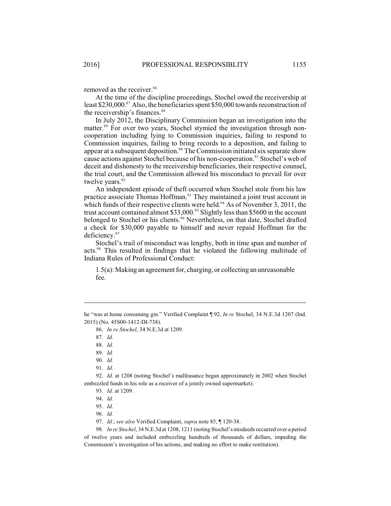removed as the receiver.<sup>86</sup>

At the time of the discipline proceedings, Stochel owed the receivership at least \$230,000. $\frac{87}{3}$  Also, the beneficiaries spent \$50,000 towards reconstruction of the receivership's finances. 88

In July 2012, the Disciplinary Commission began an investigation into the matter.<sup>89</sup> For over two years, Stochel stymied the investigation through noncooperation including lying to Commission inquiries, failing to respond to Commission inquiries, failing to bring records to a deposition, and failing to appear at a subsequent deposition.<sup>90</sup> The Commission initiated six separate show cause actions against Stochel because of his non-cooperation.<sup>91</sup> Stochel's web of deceit and dishonesty to the receivership beneficiaries, their respective counsel, the trial court, and the Commission allowed his misconduct to prevail for over twelve years.<sup>92</sup>

An independent episode of theft occurred when Stochel stole from his law practice associate Thomas Hoffman.<sup>93</sup> They maintained a joint trust account in which funds of their respective clients were held.<sup>94</sup> As of November 3, 2011, the trust account contained almost  $$33,000$ .<sup>95</sup> Slightly less than \$5600 in the account belonged to Stochel or his clients.<sup>96</sup> Nevertheless, on that date, Stochel drafted a check for \$30,000 payable to himself and never repaid Hoffman for the deficiency.<sup>97</sup>

Stochel's trail of misconduct was lengthy, both in time span and number of acts.<sup>98</sup> This resulted in findings that he violated the following multitude of Indiana Rules of Professional Conduct:

 $1.5(a)$ : Making an agreement for, charging, or collecting an unreasonable fee.

92. *Id.* at 1208 (noting Stochel's malfeasance began approximately in 2002 when Stochel embezzled funds in his role as a receiver of a jointly owned supermarket).

98. *In re Stochel*, 34 N.E.3d at 1208, 1211 (noting Stochel's misdeeds occurred over a period of twelve years and included embezzling hundreds of thousands of dollars, impeding the Commission's investigation of his actions, and making no effort to make restitution).

he "was at home consuming gin." Verified Complaint ¶ 92, *In re* Stochel, 34 N.E.3d 1207 (Ind. 2015) (No. 45S00-1412-DI-738).

<sup>86.</sup> *In re Stochel*, 34 N.E.3d at 1209.

<sup>87.</sup> *Id.*

<sup>88.</sup> *Id.*

<sup>89.</sup> *Id.*

<sup>90.</sup> *Id.*

<sup>91.</sup> *Id.*

<sup>93.</sup> *Id.* at 1209.

<sup>94.</sup> *Id.*

<sup>95.</sup> *Id.*

<sup>96.</sup> *Id.*

<sup>97.</sup> *Id.*; *see also* Verified Complaint, *supra* note 85, ¶ 120-38.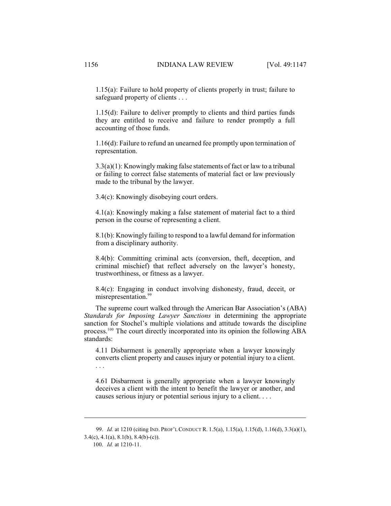1.15(a): Failure to hold property of clients properly in trust; failure to safeguard property of clients . . .

1.15(d): Failure to deliver promptly to clients and third parties funds they are entitled to receive and failure to render promptly a full accounting of those funds.

1.16(d): Failure to refund an unearned fee promptly upon termination of representation.

3.3(a)(1): Knowingly making false statements of fact or law to a tribunal or failing to correct false statements of material fact or law previously made to the tribunal by the lawyer.

3.4(c): Knowingly disobeying court orders.

4.1(a): Knowingly making a false statement of material fact to a third person in the course of representing a client.

8.1(b): Knowingly failing to respond to a lawful demand for information from a disciplinary authority.

8.4(b): Committing criminal acts (conversion, theft, deception, and criminal mischief) that reflect adversely on the lawyer's honesty, trustworthiness, or fitness as a lawyer.

8.4(c): Engaging in conduct involving dishonesty, fraud, deceit, or misrepresentation.<sup>99</sup>

The supreme court walked through the American Bar Association's (ABA) *Standards for Imposing Lawyer Sanctions* in determining the appropriate sanction for Stochel's multiple violations and attitude towards the discipline process.<sup>100</sup> The court directly incorporated into its opinion the following ABA standards:

4.11 Disbarment is generally appropriate when a lawyer knowingly converts client property and causes injury or potential injury to a client. . . .

4.61 Disbarment is generally appropriate when a lawyer knowingly deceives a client with the intent to benefit the lawyer or another, and causes serious injury or potential serious injury to a client. . . .

<sup>99.</sup> *Id.* at 1210 (citing IND. PROF'L CONDUCT R. 1.5(a), 1.15(a), 1.15(d), 1.16(d), 3.3(a)(1),  $3.4(c)$ ,  $4.1(a)$ ,  $8.1(b)$ ,  $8.4(b)-(c)$ ).

<sup>100.</sup> *Id.* at 1210-11.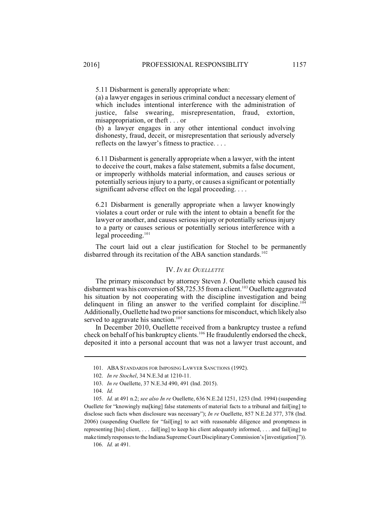5.11 Disbarment is generally appropriate when:

(a) a lawyer engages in serious criminal conduct a necessary element of which includes intentional interference with the administration of justice, false swearing, misrepresentation, fraud, extortion, misappropriation, or theft . . . or

(b) a lawyer engages in any other intentional conduct involving dishonesty, fraud, deceit, or misrepresentation that seriously adversely reflects on the lawyer's fitness to practice. . . .

6.11 Disbarment is generally appropriate when a lawyer, with the intent to deceive the court, makes a false statement, submits a false document, or improperly withholds material information, and causes serious or potentially serious injury to a party, or causes a significant or potentially significant adverse effect on the legal proceeding. . . .

6.21 Disbarment is generally appropriate when a lawyer knowingly violates a court order or rule with the intent to obtain a benefit for the lawyer or another, and causes serious injury or potentially serious injury to a party or causes serious or potentially serious interference with a legal proceeding.<sup>101</sup>

The court laid out a clear justification for Stochel to be permanently disbarred through its recitation of the ABA sanction standards.<sup>102</sup>

## IV. *IN RE OUELLETTE*

The primary misconduct by attorney Steven J. Ouellette which caused his disbarment was his conversion of  $$8,725.35$  from a client.<sup>103</sup> Ouellette aggravated his situation by not cooperating with the discipline investigation and being delinquent in filing an answer to the verified complaint for discipline.<sup>104</sup> Additionally, Ouellette had two prior sanctions for misconduct, which likely also served to aggravate his sanction.<sup>105</sup>

In December 2010, Ouellette received from a bankruptcy trustee a refund check on behalf of his bankruptcy clients.<sup>106</sup> He fraudulently endorsed the check, deposited it into a personal account that was not a lawyer trust account, and

106. *Id.* at 491.

<sup>101.</sup> ABA STANDARDS FOR IMPOSING LAWYER SANCTIONS (1992).

<sup>102.</sup> *In re Stochel*, 34 N.E.3d at 1210-11.

<sup>103.</sup> *In re* Ouellette, 37 N.E.3d 490, 491 (Ind. 2015).

<sup>104.</sup> *Id.* 

<sup>105.</sup> *Id.* at 491 n.2; *see also In re* Ouellette, 636 N.E.2d 1251, 1253 (Ind. 1994) (suspending Ouellete for "knowingly ma[king] false statements of material facts to a tribunal and fail[ing] to disclose such facts when disclosure was necessary"); *In re* Ouellette, 857 N.E.2d 377, 378 (Ind. 2006) (suspending Ouellete for "fail[ing] to act with reasonable diligence and promptness in representing [his] client, . . . fail[ing] to keep his client adequately informed, . . . and fail[ing] to make timelyresponses to the Indiana Supreme Court DisciplinaryCommission's [investigation]")).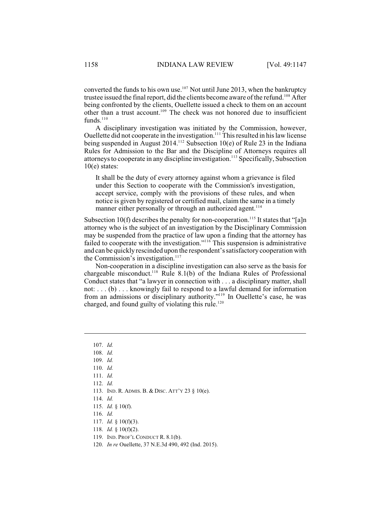converted the funds to his own use.<sup>107</sup> Not until June 2013, when the bankruptcy trustee issued the final report, did the clients become aware of the refund.<sup>108</sup> After being confronted by the clients, Ouellette issued a check to them on an account other than a trust account.<sup>109</sup> The check was not honored due to insufficient funds. $110$ 

A disciplinary investigation was initiated by the Commission, however, Ouellette did not cooperate in the investigation.<sup>111</sup> This resulted in his law license being suspended in August 2014.<sup>112</sup> Subsection 10(e) of Rule 23 in the Indiana Rules for Admission to the Bar and the Discipline of Attorneys requires all attorneys to cooperate in any discipline investigation.<sup>113</sup> Specifically, Subsection 10(e) states:

It shall be the duty of every attorney against whom a grievance is filed under this Section to cooperate with the Commission's investigation, accept service, comply with the provisions of these rules, and when notice is given by registered or certified mail, claim the same in a timely manner either personally or through an authorized agent.<sup>114</sup>

Subsection 10(f) describes the penalty for non-cooperation.<sup>115</sup> It states that "[a]n attorney who is the subject of an investigation by the Disciplinary Commission may be suspended from the practice of law upon a finding that the attorney has failed to cooperate with the investigation."<sup>116</sup> This suspension is administrative and can be quickly rescinded upon the respondent's satisfactory cooperation with the Commission's investigation. $117$ 

Non-cooperation in a discipline investigation can also serve as the basis for chargeable misconduct.<sup>118</sup> Rule 8.1(b) of the Indiana Rules of Professional Conduct states that "a lawyer in connection with . . . a disciplinary matter, shall not: . . . (b) . . . knowingly fail to respond to a lawful demand for information from an admissions or disciplinary authority."<sup>119</sup> In Ouellette's case, he was charged, and found guilty of violating this rule.<sup>120</sup>

- 
- 113. IND. R. ADMIS. B. & DISC. ATT'Y 23 § 10(e).
- 114. *Id.*

- 116. *Id.*
- 117. *Id.* § 10(f)(3).
- 118. *Id.* § 10(f)(2).
- 119. IND. PROF'L CONDUCT R. 8.1(b).
- 120. *In re* Ouellette, 37 N.E.3d 490, 492 (Ind. 2015).

<sup>107.</sup> *Id.*

<sup>108.</sup> *Id.*

<sup>109.</sup> *Id.*

<sup>110.</sup> *Id.* 111. *Id.*

<sup>112.</sup> *Id.*

<sup>115.</sup> *Id.* § 10(f).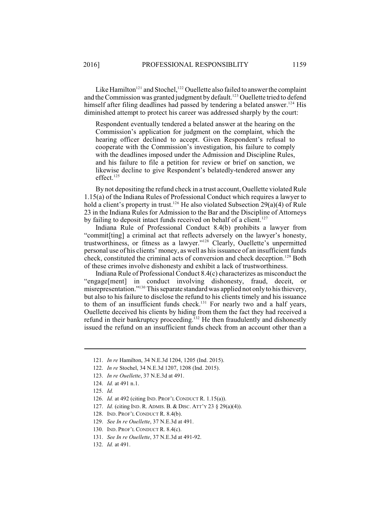Like Hamilton<sup>121</sup> and Stochel,<sup>122</sup> Ouellette also failed to answer the complaint and the Commission was granted judgment by default.<sup>123</sup> Ouellette tried to defend himself after filing deadlines had passed by tendering a belated answer.<sup>124</sup> His diminished attempt to protect his career was addressed sharply by the court:

Respondent eventually tendered a belated answer at the hearing on the Commission's application for judgment on the complaint, which the hearing officer declined to accept. Given Respondent's refusal to cooperate with the Commission's investigation, his failure to comply with the deadlines imposed under the Admission and Discipline Rules, and his failure to file a petition for review or brief on sanction, we likewise decline to give Respondent's belatedly-tendered answer any effect. 125

By not depositing the refund check in a trust account, Ouellette violated Rule 1.15(a) of the Indiana Rules of Professional Conduct which requires a lawyer to hold a client's property in trust.<sup>126</sup> He also violated Subsection 29(a)(4) of Rule 23 in the Indiana Rules for Admission to the Bar and the Discipline of Attorneys by failing to deposit intact funds received on behalf of a client.<sup>127</sup>

Indiana Rule of Professional Conduct 8.4(b) prohibits a lawyer from "commit[ting] a criminal act that reflects adversely on the lawyer's honesty, trustworthiness, or fitness as a lawyer."<sup>128</sup> Clearly, Ouellette's unpermitted personal use of his clients' money, as well as hisissuance of an insufficient funds check, constituted the criminal acts of conversion and check deception.<sup>129</sup> Both of these crimes involve dishonesty and exhibit a lack of trustworthiness.

Indiana Rule of Professional Conduct 8.4(c) characterizes as misconduct the "engage[ment] in conduct involving dishonesty, fraud, deceit, or misrepresentation."<sup>130</sup> This separate standard was applied not only to his thievery, but also to his failure to disclose the refund to his clients timely and his issuance to them of an insufficient funds check.<sup> $131$ </sup> For nearly two and a half years, Ouellette deceived his clients by hiding from them the fact they had received a refund in their bankruptcy proceeding.<sup> $132$ </sup> He then fraudulently and dishonestly issued the refund on an insufficient funds check from an account other than a

- 122. *In re* Stochel, 34 N.E.3d 1207, 1208 (Ind. 2015).
- 123. *In re Ouellette*, 37 N.E.3d at 491.
- 124. *Id.* at 491 n.1.
- 125. *Id.*
- 126. *Id.* at 492 (citing IND. PROF'L CONDUCT R. 1.15(a)).
- 127. *Id.* (citing IND. R. ADMIS. B. & DISC. ATT'Y 23 § 29(a)(4)).
- 128. IND. PROF'L CONDUCT R. 8.4(b).
- 129. *See In re Ouellette*, 37 N.E.3d at 491.
- 130. IND. PROF'L CONDUCT R. 8.4(c).
- 131. *See In re Ouellette*, 37 N.E.3d at 491-92.
- 132. *Id.* at 491.

<sup>121.</sup> *In re* Hamilton, 34 N.E.3d 1204, 1205 (Ind. 2015).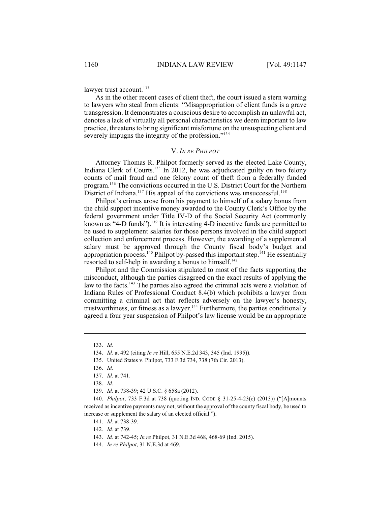lawyer trust account. $133$ 

As in the other recent cases of client theft, the court issued a stern warning to lawyers who steal from clients: "Misappropriation of client funds is a grave transgression. It demonstrates a conscious desire to accomplish an unlawful act, denotes a lack of virtually all personal characteristics we deem important to law practice, threatensto bring significant misfortune on the unsuspecting client and severely impugns the integrity of the profession."<sup>134</sup>

## V. *IN RE PHILPOT*

Attorney Thomas R. Philpot formerly served as the elected Lake County, Indiana Clerk of Courts.<sup>135</sup> In 2012, he was adjudicated guilty on two felony counts of mail fraud and one felony count of theft from a federally funded program.<sup>136</sup> The convictions occurred in the U.S. District Court for the Northern District of Indiana.<sup>137</sup> His appeal of the convictions was unsuccessful.<sup>138</sup>

Philpot's crimes arose from his payment to himself of a salary bonus from the child support incentive money awarded to the County Clerk's Office by the federal government under Title IV-D of the Social Security Act (commonly known as "4-D funds"). $^{139}$  It is interesting 4-D incentive funds are permitted to be used to supplement salaries for those persons involved in the child support collection and enforcement process. However, the awarding of a supplemental salary must be approved through the County fiscal body's budget and appropriation process.<sup>140</sup> Philpot by-passed this important step.<sup>141</sup> He essentially resorted to self-help in awarding a bonus to himself.<sup>142</sup>

Philpot and the Commission stipulated to most of the facts supporting the misconduct, although the parties disagreed on the exact results of applying the law to the facts.<sup>143</sup> The parties also agreed the criminal acts were a violation of Indiana Rules of Professional Conduct 8.4(b) which prohibits a lawyer from committing a criminal act that reflects adversely on the lawyer's honesty, trustworthiness, or fitness as a lawyer.<sup>144</sup> Furthermore, the parties conditionally agreed a four year suspension of Philpot's law license would be an appropriate

<sup>133.</sup> *Id.*

<sup>134.</sup> *Id.* at 492 (citing *In re* Hill, 655 N.E.2d 343, 345 (Ind. 1995)).

<sup>135.</sup> United States v. Philpot, 733 F.3d 734, 738 (7th Cir. 2013).

<sup>136.</sup> *Id.*

<sup>137.</sup> *Id.* at 741.

<sup>138.</sup> *Id.*

<sup>139.</sup> *Id.* at 738-39; 42 U.S.C. § 658a (2012).

<sup>140.</sup> *Philpot*, 733 F.3d at 738 (quoting IND. CODE § 31-25-4-23(c) (2013)) ("[A]mounts received as incentive payments may not, without the approval of the county fiscal body, be used to increase or supplement the salary of an elected official.").

<sup>141.</sup> *Id.* at 738-39.

<sup>142.</sup> *Id.* at 739.

<sup>143.</sup> *Id.* at 742-45; *In re* Philpot, 31 N.E.3d 468, 468-69 (Ind. 2015).

<sup>144.</sup> *In re Philpot*, 31 N.E.3d at 469.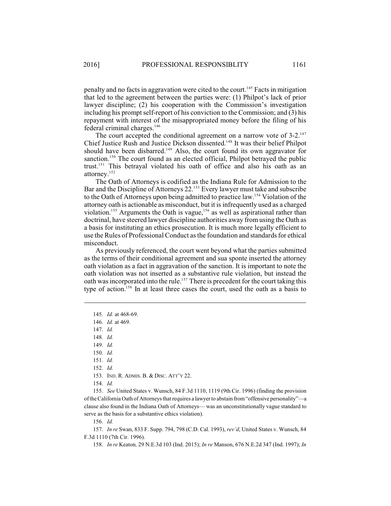penalty and no facts in aggravation were cited to the court.<sup>145</sup> Facts in mitigation that led to the agreement between the parties were: (1) Philpot's lack of prior lawyer discipline; (2) his cooperation with the Commission's investigation including his prompt self-report of his conviction to the Commission; and (3) his repayment with interest of the misappropriated money before the filing of his federal criminal charges.<sup>146</sup>

The court accepted the conditional agreement on a narrow vote of 3-2.<sup>147</sup> Chief Justice Rush and Justice Dickson dissented.<sup>148</sup> It was their belief Philpot should have been disbarred.<sup>149</sup> Also, the court found its own aggravator for sanction.<sup>150</sup> The court found as an elected official, Philpot betrayed the public trust.<sup>151</sup> This betrayal violated his oath of office and also his oath as an attorney.<sup>152</sup>

The Oath of Attorneys is codified as the Indiana Rule for Admission to the Bar and the Discipline of Attorneys 22.<sup>153</sup> Every lawyer must take and subscribe to the Oath of Attorneys upon being admitted to practice law.<sup>154</sup> Violation of the attorney oath is actionable as misconduct, but it is infrequently used as a charged violation.<sup>155</sup> Arguments the Oath is vague,<sup>156</sup> as well as aspirational rather than doctrinal, have steered lawyer discipline authorities away from using the Oath as a basis for instituting an ethics prosecution. It is much more legally efficient to use the Rules of Professional Conduct as the foundation and standards for ethical misconduct.

As previously referenced, the court went beyond what the parties submitted as the terms of their conditional agreement and sua sponte inserted the attorney oath violation as a fact in aggravation of the sanction. It is important to note the oath violation was not inserted as a substantive rule violation, but instead the oath was incorporated into the rule.<sup>157</sup> There is precedent for the court taking this type of action.<sup>158</sup> In at least three cases the court, used the oath as a basis to

151. *Id.*

154. *Id.*

155. *See* United States v. Wunsch, 84 F.3d 1110, 1119 (9th Cir. 1996) (finding the provision of the California Oath of Attorneys that requires a lawyer to abstain from "offensive personality"—a clause also found in the Indiana Oath of Attorneys— was an unconstitutionally vague standard to serve as the basis for a substantive ethics violation).

156. *Id.*

157. *In re* Swan, 833 F. Supp. 794, 798 (C.D. Cal. 1993), *rev'd*, United States v. Wunsch, 84 F.3d 1110 (7th Cir. 1996).

158. *In re* Keaton*,* 29 N.E.3d 103 (Ind. 2015); *In re* Manson, 676 N.E.2d 347 (Ind. 1997); *In*

<sup>145.</sup> *Id.* at 468-69.

<sup>146.</sup> *Id.* at 469.

<sup>147.</sup> *Id.*

<sup>148.</sup> *Id.*

<sup>149.</sup> *Id.*

<sup>150.</sup> *Id.*

<sup>152.</sup> *Id.*

<sup>153.</sup> IND. R. ADMIS. B. & DISC. ATT'Y 22.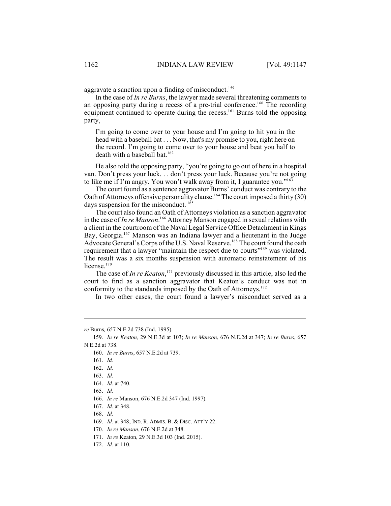aggravate a sanction upon a finding of misconduct.<sup>159</sup>

In the case of *In re Burns*, the lawyer made several threatening comments to an opposing party during a recess of a pre-trial conference.<sup>160</sup> The recording equipment continued to operate during the recess.<sup>161</sup> Burns told the opposing party,

I'm going to come over to your house and I'm going to hit you in the head with a baseball bat . . . Now, that's my promise to you, right here on the record. I'm going to come over to your house and beat you half to death with a baseball bat. 162

He also told the opposing party, "you're going to go out of here in a hospital van. Don't press your luck. . . don't press your luck. Because you're not going to like me if I'm angry. You won't walk away from it, I guarantee you."<sup>163</sup>

The court found as a sentence aggravator Burns' conduct was contrary to the Oath of Attorneys offensive personality clause.<sup>164</sup> The court imposed a thirty (30) days suspension for the misconduct.<sup>165</sup>

The court also found an Oath of Attorneys violation as a sanction aggravator in the case of *In re Manson*.<sup>166</sup> Attorney Manson engaged in sexual relations with a client in the courtroom of the Naval Legal Service Office Detachment in Kings Bay, Georgia.<sup>167</sup> Manson was an Indiana lawyer and a lieutenant in the Judge Advocate General's Corps of the U.S. Naval Reserve.<sup>168</sup> The court found the oath requirement that a lawyer "maintain the respect due to courts"<sup>169</sup> was violated. The result was a six months suspension with automatic reinstatement of his license. $170$ 

The case of *In re Keaton*,<sup>171</sup> previously discussed in this article, also led the court to find as a sanction aggravator that Keaton's conduct was not in conformity to the standards imposed by the Oath of Attorneys.<sup>172</sup>

In two other cases, the court found a lawyer's misconduct served as a

*re* Burns*,* 657 N.E.2d 738 (Ind. 1995).

<sup>159.</sup> *In re Keaton,* 29 N.E.3d at 103; *In re Manson*, 676 N.E.2d at 347; *In re Burns*, 657 N.E.2d at 738.

<sup>160.</sup> *In re Burns*, 657 N.E.2d at 739.

<sup>161.</sup> *Id.*

<sup>162.</sup> *Id.*

<sup>163.</sup> *Id.*

<sup>164.</sup> *Id.* at 740.

<sup>165.</sup> *Id.*

<sup>166.</sup> *In re* Manson, 676 N.E.2d 347 (Ind. 1997).

<sup>167.</sup> *Id.* at 348.

<sup>168.</sup> *Id.*

<sup>169.</sup> *Id.* at 348; IND. R. ADMIS. B. & DISC. ATT'Y 22.

<sup>170.</sup> *In re Manson*, 676 N.E.2d at 348.

<sup>171.</sup> *In re* Keaton, 29 N.E.3d 103 (Ind. 2015).

<sup>172.</sup> *Id.* at 110.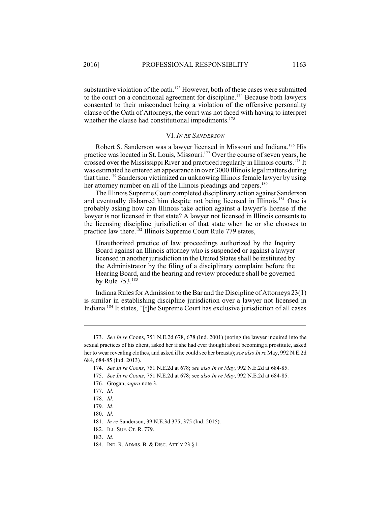substantive violation of the oath.<sup>173</sup> However, both of these cases were submitted to the court on a conditional agreement for discipline.<sup>174</sup> Because both lawyers consented to their misconduct being a violation of the offensive personality clause of the Oath of Attorneys, the court was not faced with having to interpret whether the clause had constitutional impediments.<sup>175</sup>

#### VI. *IN RE SANDERSON*

Robert S. Sanderson was a lawyer licensed in Missouri and Indiana.<sup>176</sup> His practice was located in St. Louis, Missouri.<sup>177</sup> Over the course of seven years, he crossed over the Mississippi River and practiced regularly in Illinois courts.<sup>178</sup> It was estimated he entered an appearance in over 3000 Illinoislegal matters during that time.<sup>179</sup> Sanderson victimized an unknowing Illinois female lawyer by using her attorney number on all of the Illinois pleadings and papers.<sup>180</sup>

The Illinois Supreme Court completed disciplinary action against Sanderson and eventually disbarred him despite not being licensed in Illinois.<sup>181</sup> One is probably asking how can Illinois take action against a lawyer's license if the lawyer is not licensed in that state? A lawyer not licensed in Illinois consents to the licensing discipline jurisdiction of that state when he or she chooses to practice law there. <sup>182</sup> Illinois Supreme Court Rule 779 states,

Unauthorized practice of law proceedings authorized by the Inquiry Board against an Illinois attorney who is suspended or against a lawyer licensed in another jurisdiction in the United States shall be instituted by the Administrator by the filing of a disciplinary complaint before the Hearing Board, and the hearing and review procedure shall be governed by Rule 753.<sup>183</sup>

Indiana Rules for Admission to the Bar and the Discipline of Attorneys 23(1) is similar in establishing discipline jurisdiction over a lawyer not licensed in Indiana.<sup>184</sup> It states, "[t]he Supreme Court has exclusive jurisdiction of all cases

<sup>173.</sup> *See In re* Coons, 751 N.E.2d 678, 678 (Ind. 2001) (noting the lawyer inquired into the sexual practices of his client, asked her if she had ever thought about becoming a prostitute, asked her to wear revealing clothes, and asked if he could see her breasts); *see also In re* May, 992 N.E.2d 684, 684-85 (Ind. 2013).

<sup>174.</sup> *See In re Coons*, 751 N.E.2d at 678; *see also In re May*, 992 N.E.2d at 684-85.

<sup>175.</sup> *See In re Coons*, 751 N.E.2d at 678; *s*ee *also In re May*, 992 N.E.2d at 684-85.

<sup>176.</sup> Grogan, *supra* note 3.

<sup>177.</sup> *Id.*

<sup>178.</sup> *Id.* 

<sup>179.</sup> *Id.*

<sup>180.</sup> *Id.*

<sup>181.</sup> *In re* Sanderson, 39 N.E.3d 375, 375 (Ind. 2015).

<sup>182.</sup> ILL. SUP. CT. R. 779.

<sup>183.</sup> *Id.* 

<sup>184.</sup> IND. R. ADMIS. B. & DISC. ATT'Y 23 § 1.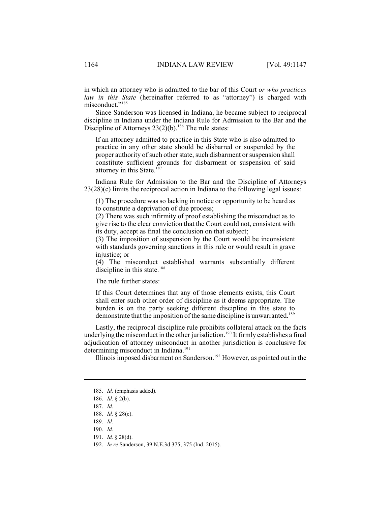in which an attorney who is admitted to the bar of this Court *or who practices law in this State* (hereinafter referred to as "attorney") is charged with misconduct."<sup>185</sup>

Since Sanderson was licensed in Indiana, he became subject to reciprocal discipline in Indiana under the Indiana Rule for Admission to the Bar and the Discipline of Attorneys  $23(2)(b)$ .<sup>186</sup> The rule states:

If an attorney admitted to practice in this State who is also admitted to practice in any other state should be disbarred or suspended by the proper authority of such other state, such disbarment or suspension shall constitute sufficient grounds for disbarment or suspension of said attorney in this State.<sup>187</sup>

Indiana Rule for Admission to the Bar and the Discipline of Attorneys 23(28)(c) limits the reciprocal action in Indiana to the following legal issues:

(1) The procedure was so lacking in notice or opportunity to be heard as to constitute a deprivation of due process;

(2) There was such infirmity of proof establishing the misconduct as to give rise to the clear conviction that the Court could not, consistent with its duty, accept as final the conclusion on that subject;

(3) The imposition of suspension by the Court would be inconsistent with standards governing sanctions in this rule or would result in grave injustice; or

(4) The misconduct established warrants substantially different discipline in this state. $188$ 

The rule further states:

If this Court determines that any of those elements exists, this Court shall enter such other order of discipline as it deems appropriate. The burden is on the party seeking different discipline in this state to demonstrate that the imposition of the same discipline is unwarranted.<sup>189</sup>

Lastly, the reciprocal discipline rule prohibits collateral attack on the facts underlying the misconduct in the other jurisdiction.<sup>190</sup> It firmly establishes a final adjudication of attorney misconduct in another jurisdiction is conclusive for determining misconduct in Indiana. 191

Illinois imposed disbarment on Sanderson.<sup>192</sup> However, as pointed out in the

<sup>185.</sup> *Id.* (emphasis added).

<sup>186.</sup> *Id.* § 2(b).

<sup>187.</sup> *Id.*

<sup>188.</sup> *Id.* § 28(c).

<sup>189.</sup> *Id.*

<sup>190.</sup> *Id.*

<sup>191.</sup> *Id.* § 28(d).

<sup>192.</sup> *In re* Sanderson, 39 N.E.3d 375, 375 (Ind. 2015).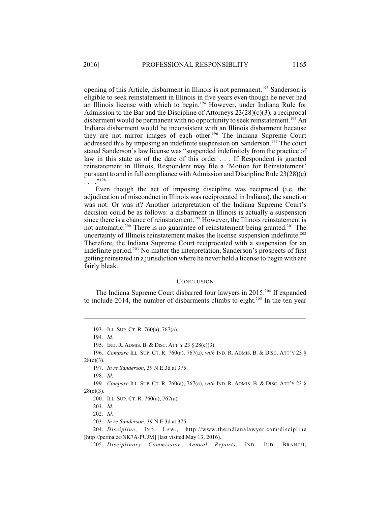opening of this Article, disbarment in Illinois is not permanent.<sup>193</sup> Sanderson is eligible to seek reinstatement in Illinois in five years even though he never had an Illinois license with which to begin.<sup>194</sup> However, under Indiana Rule for Admission to the Bar and the Discipline of Attorneys 23(28)(c)(3), a reciprocal disbarment would be permanent with no opportunity to seek reinstatement.<sup>195</sup> An Indiana disbarment would be inconsistent with an Illinois disbarment because they are not mirror images of each other.<sup>196</sup> The Indiana Supreme Court addressed this by imposing an indefinite suspension on Sanderson.<sup>197</sup> The court stated Sanderson's law license was "suspended indefinitely from the practice of law in this state as of the date of this order . . . If Respondent is granted reinstatement in Illinois, Respondent may file a 'Motion for Reinstatement' pursuant to and in full compliance with Admission and Discipline Rule 23(28)(e) . . . ." 198

Even though the act of imposing discipline was reciprocal (i.e. the adjudication of misconduct in Illinois was reciprocated in Indiana), the sanction was not. Or was it? Another interpretation of the Indiana Supreme Court's decision could be as follows: a disbarment in Illinois is actually a suspension since there is a chance of reinstatement.<sup>199</sup> However, the Illinois reinstatement is not automatic.<sup>200</sup> There is no guarantee of reinstatement being granted.<sup>201</sup> The uncertainty of Illinois reinstatement makes the license suspension indefinite. 202 Therefore, the Indiana Supreme Court reciprocated with a suspension for an indefinite period. $2^{03}$  No matter the interpretation, Sanderson's prospects of first getting reinstated in a jurisdiction where he never held a license to begin with are fairly bleak.

## **CONCLUSION**

The Indiana Supreme Court disbarred four lawyers in  $2015<sup>204</sup>$  If expanded to include 2014, the number of disbarments climbs to eight.<sup>205</sup> In the ten year

<sup>193.</sup> ILL. SUP. CT. R. 760(a), 767(a).

<sup>194.</sup> *Id.*

<sup>195.</sup> IND. R. ADMIS. B. & DISC. ATT'Y 23 § 28(c)(3).

<sup>196.</sup> *Compare* ILL. SUP. CT. R. 760(a), 767(a), *with* IND. R. ADMIS. B. & DISC. ATT'Y 23 §  $28(c)(3)$ .

<sup>197.</sup> *In re Sanderson*, 39 N.E.3d at 375.

<sup>198.</sup> *Id.*

<sup>199.</sup> *Compare* ILL. SUP. CT. R. 760(a), 767(a), *with* IND. R. ADMIS. B. & DISC. ATT'Y 23 §  $28(c)(3)$ .

<sup>200.</sup> ILL. SUP. CT. R. 760(a), 767(a).

<sup>201.</sup> *Id.*

<sup>202.</sup> *Id.*

<sup>203.</sup> *In re Sanderson*, 39 N.E.3d at 375.

<sup>204.</sup> *Discipline*, IND. LAW., http://www.theindianalawyer.com/discipline [http://perma.cc/NK7A-PUJM] (last visited May 13, 2016).

<sup>205.</sup> *Disciplinary Commission Annual Reports*, IND. JUD. BRANCH,